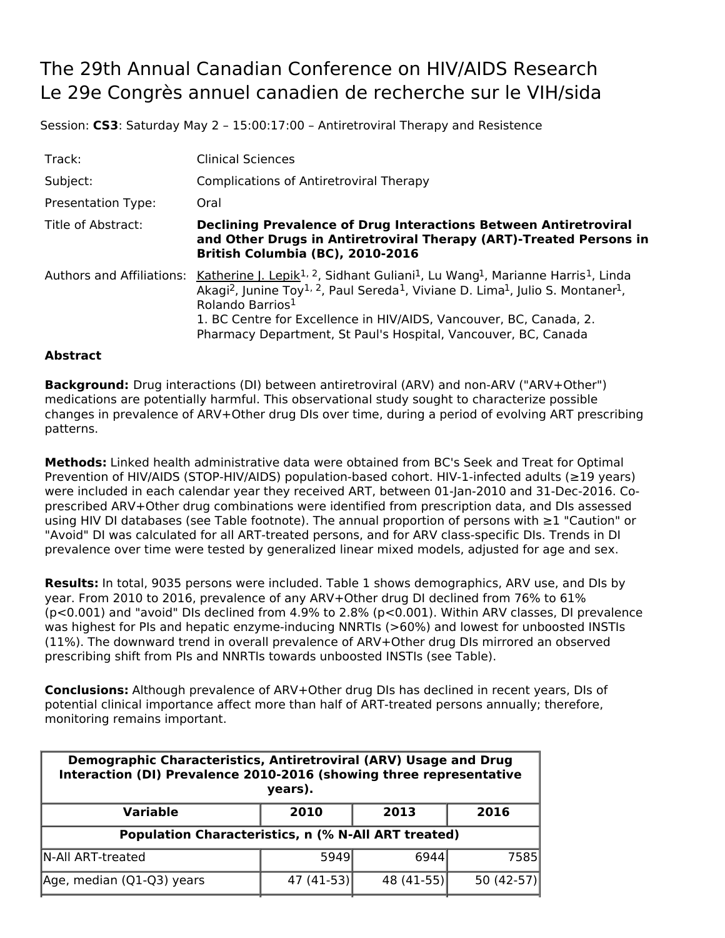## The 29th Annual Canadian Conference on HIV/AIDS Research Le 29e Congrès annuel canadien de recherche sur le VIH/sida

Session: **CS3**: Saturday May 2 – 15:00:17:00 – Antiretroviral Therapy and Resistence

| Track:                           | <b>Clinical Sciences</b>                                                                                                                                                                                                                                                                                                                                                                                                                                |
|----------------------------------|---------------------------------------------------------------------------------------------------------------------------------------------------------------------------------------------------------------------------------------------------------------------------------------------------------------------------------------------------------------------------------------------------------------------------------------------------------|
| Subject:                         | <b>Complications of Antiretroviral Therapy</b>                                                                                                                                                                                                                                                                                                                                                                                                          |
| <b>Presentation Type:</b>        | Oral                                                                                                                                                                                                                                                                                                                                                                                                                                                    |
| Title of Abstract:               | <b>Declining Prevalence of Drug Interactions Between Antiretroviral</b><br>and Other Drugs in Antiretroviral Therapy (ART)-Treated Persons in<br>British Columbia (BC), 2010-2016                                                                                                                                                                                                                                                                       |
| <b>Authors and Affiliations:</b> | Katherine J. Lepik <sup>1, 2</sup> , Sidhant Guliani <sup>1</sup> , Lu Wang <sup>1</sup> , Marianne Harris <sup>1</sup> , Linda<br>Akagi <sup>2</sup> , Junine Toy <sup>1, 2</sup> , Paul Sereda <sup>1</sup> , Viviane D. Lima <sup>1</sup> , Julio S. Montaner <sup>1</sup> ,<br>Rolando Barrios <sup>1</sup><br>1. BC Centre for Excellence in HIV/AIDS, Vancouver, BC, Canada, 2.<br>Pharmacy Department, St Paul's Hospital, Vancouver, BC, Canada |

## **Abstract**

**Background:** Drug interactions (DI) between antiretroviral (ARV) and non-ARV ("ARV+Other") medications are potentially harmful. This observational study sought to characterize possible changes in prevalence of ARV+Other drug DIs over time, during a period of evolving ART prescribing patterns.

**Methods:** Linked health administrative data were obtained from BC's Seek and Treat for Optimal Prevention of HIV/AIDS (STOP-HIV/AIDS) population-based cohort. HIV-1-infected adults (≥19 years) were included in each calendar year they received ART, between 01-Jan-2010 and 31-Dec-2016. Coprescribed ARV+Other drug combinations were identified from prescription data, and DIs assessed using HIV DI databases (see Table footnote). The annual proportion of persons with ≥1 "Caution" or "Avoid" DI was calculated for all ART-treated persons, and for ARV class-specific DIs. Trends in DI prevalence over time were tested by generalized linear mixed models, adjusted for age and sex.

**Results:** In total, 9035 persons were included. Table 1 shows demographics, ARV use, and DIs by year. From 2010 to 2016, prevalence of any ARV+Other drug DI declined from 76% to 61% (p<0.001) and "avoid" DIs declined from 4.9% to 2.8% (p<0.001). Within ARV classes, DI prevalence was highest for PIs and hepatic enzyme-inducing NNRTIs (>60%) and lowest for unboosted INSTIs (11%). The downward trend in overall prevalence of ARV+Other drug DIs mirrored an observed prescribing shift from PIs and NNRTIs towards unboosted INSTIs (see Table).

**Conclusions:** Although prevalence of ARV+Other drug DIs has declined in recent years, DIs of potential clinical importance affect more than half of ART-treated persons annually; therefore, monitoring remains important.

| Demographic Characteristics, Antiretroviral (ARV) Usage and Drug<br>Interaction (DI) Prevalence 2010-2016 (showing three representative<br>years). |             |             |              |  |  |  |
|----------------------------------------------------------------------------------------------------------------------------------------------------|-------------|-------------|--------------|--|--|--|
| <b>Variable</b>                                                                                                                                    | 2010        | 2013        | 2016         |  |  |  |
| <b>Population Characteristics, n (% N-All ART treated)</b>                                                                                         |             |             |              |  |  |  |
| N-All ART-treated                                                                                                                                  | 5949        | 6944        | 7585         |  |  |  |
| Age, median (Q1-Q3) years                                                                                                                          | $47(41-53)$ | $48(41-55)$ | 50 $(42-57)$ |  |  |  |